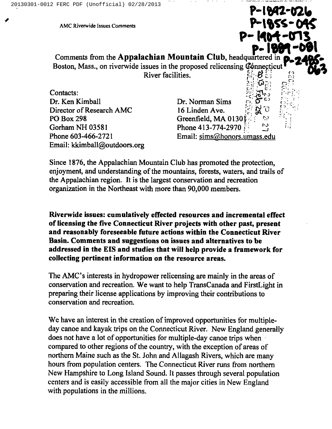AMC Riverwide Issues Comments LNC~~

p-1889-01 Comments from the Appalachian Mountain Club, headquartered in Boston, Mass., on riverwide issues in the proposed relicensing Connecticut River facilities.

Contacts: Dr. Ken Kimball Director of Research AMC PO Box 298 Gorham NH 03581 Phone 603-466-2721 Email: kkimball@outdoors.org

Dr. Norman Sims 16 Linden Ave. Greenfield, MA 0130 Phone 413-774-2970! Email: sims@honors.umass.edu

P-1892-026

P-1904-073

Since 1876, the Appalachian Mountain Club has promoted the protection, enjoyment, and understanding of the mountains, forests, waters, and trails of the Appalachian region. It is the largest conservation and recreation organization in the Northeast with more than 90,000 members.

Riverwide issues: cumulatively effected resources and incremental effect of licensing the five Connecticut River projects with other past, present and reasonably foreseeable future actions within the Connecticut River Basin. Comments and suggestions on issues and alternatives to be addressed in the EIS and studies that will help provide a framework for collecting pertinent information on the resource areas.

The AMC's interests in hydropower relicensing are mainly in the areas of conservation and recreation. We want to help TransCanada and FirstLight in preparing their license applications by improving their contributions to conservation and recreation.

We have an interest in the creation of improved opportunities for multipleday canoe and kayak trips on the Connecticut River. New England generally does not have a lot of opportunities for multiple-day canoe trips when compared to other regions of the country, with the exception of areas of northern Maine such as the St. John and Allagash Rivers, which are many hours from population centers. The Connecticut River runs from northern New Hampshire to Long Island Sound. It passes through several population centers and is easily accessible from all the major cities in New England with populations in the millions.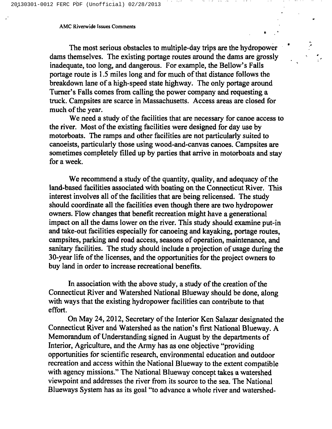## AMC Riverwide Issues Comments

The most serious obstacles to multiple-day trips are the hydropower dams themselves. The existing portage routes around the dams are grossly inadequate, too long, and dangerous. For example, the Bellow's Falls portage route is 1.5 miles long and for much of that distance follows the breakdown lane of a high-speed state highway. The only portage around Turner's Falls comes from calling the power company and requesting a truck. Campsites are scarce in Massachusetts. Access areas are closed for much of the year.

We need a study of the facilities that are necessary for canoe access to the river. Most of the existing facilities were designed for day use by motorboats. The ramps and other facilities are not particularly suited to canoeists, particularly those using wood-and-canvas canoes. Campsites are sometimes completely filled up by parties that arrive in motorboats and stay for a week.

We recommend a study of the quantity, quality, and adequacy of the land-based facilities associated with boating on the Connecticut River. This interest involves all of the facilities that are being relicensed. The study should coordinate all the facilities even though there are two hydropower owners. Flow changes that benefit recreation might have a generational impact on all the dams lower on the river. This study should examine put-in and take-out facilities especially for canoeing and kayaking, portage routes, campsites, parking and road access, seasons of operation, maintenance, and sanitary facilities. The study should include a projection of usage during the 30-year life of the licenses, and the opportunities for the project owners to buy land in order to increase recreational benefits.

In association with the above study, a study of the creation of the Connecticut River and Watershed National Blueway should be done, along with ways that the existing hydropower facilities can contribute to that effort.

On May 24, 2012, Secretary of the Interior Ken Salazar designated the Connecticut River and Watershed as the nation's first National Blueway. A Memorandum of Understanding signed in August by the departments of Interior, Agriculture, and the Army has as one objective "providing opportunities for scientific research, environmental education and outdoor recreation and access within the National Blueway to the extent compatible with agency missions." The National Blueway concept takes a watershed viewpoint and addresses the river from its source to the sea. The National Blueways System has as its goal "to advance a whole river and watershed-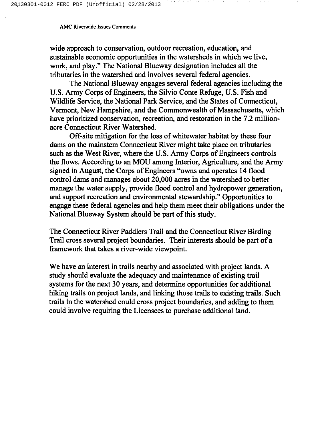## AMC Riverwide Issues Comments

wide approach to conservation, outdoor recreation, education, and sustainable economic opportunities in the watersheds in which we live, work, and play." The National Blueway designation includes all the tributaries in the watershed and involves several federal agencies.

the computation of the computation of the computation of the computation of the computation of the computation

The National Blueway engages several federal agencies including the U.S. Army Corps of Engineers, the Silvio Conte Refuge, U.S. Fish and Wildlife Service, the National Park Service, and the States of Connecticut, Vermont, New Hampshire, and the Commonwealth of Massachusetts, which have prioritized conservation, recreation, and restoration in the 7.2 millionacre Connecticut River Watershed.

Off-site mitigation for the loss of whitewater habitat by these four dams on the mainstem Connecticut River might take place on tributaries such as the West River, where the U.S. Army Corps of Engineers controls the flows. According to an MOU among Interior, Agriculture, and the Army signed in August, the Corps of Engineers "owns and operates 14 flood control dams and manages about 20,000 acres in the watershed to better manage the water supply, provide flood control and hydropower generation, and support recreation and environmental stewardship." Opportunities to engage these federal agencies and help them meet their obligations under the National Blueway System should be part of this study.

The Connecticut River Paddlers Trail and the Connecticut River Birding Trail cross several project boundaries. Their interests should be part of a framework that takes a river-wide viewpoint.

We have an interest in trails nearby and associated with project lands. A study should evaluate the adequacy and maintenance of existing trail systems for the next 30 years, and determine opportunities for additional hiking trails on project lands, and linking those trails to existing trails. Such trails in the watershed could cross project boundaries, and adding to them could involve requiring the Licensees to purchase additional land.